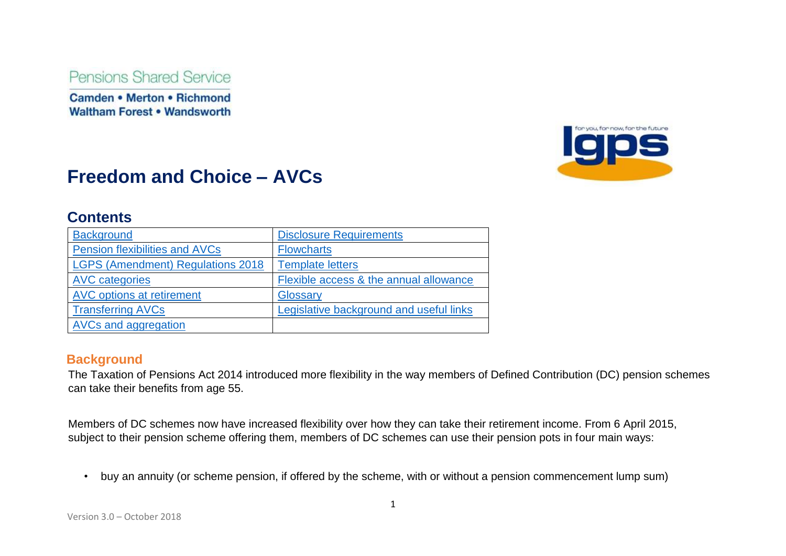Pensions Shared Service

**Camden • Merton • Richmond Waltham Forest . Wandsworth** 



# **Freedom and Choice – AVCs**

# **Contents**

| <b>Background</b>                        | <b>Disclosure Requirements</b>          |
|------------------------------------------|-----------------------------------------|
| <b>Pension flexibilities and AVCs</b>    | <b>Flowcharts</b>                       |
| <b>LGPS (Amendment) Regulations 2018</b> | <b>Template letters</b>                 |
| <b>AVC</b> categories                    | Flexible access & the annual allowance  |
| <b>AVC options at retirement</b>         | Glossary                                |
| <b>Transferring AVCs</b>                 | Legislative background and useful links |
| AVCs and aggregation                     |                                         |

## **Background**

The Taxation of Pensions Act 2014 introduced more flexibility in the way members of Defined Contribution (DC) pension schemes can take their benefits from age 55.

Members of DC schemes now have increased flexibility over how they can take their retirement income. From 6 April 2015, subject to their pension scheme offering them, members of DC schemes can use their pension pots in four main ways:

• buy an annuity (or scheme pension, if offered by the scheme, with or without a pension commencement lump sum)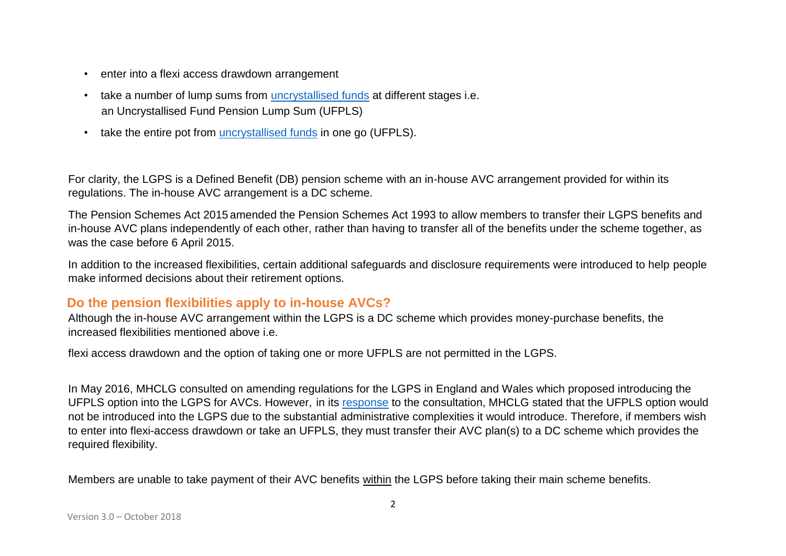- enter into a flexi access drawdown arrangement
- take a number of lump sums from uncrystallised funds at different stages i.e. an Uncrystallised Fund Pension Lump Sum (UFPLS)
- take the entire pot from uncrystallised funds in one go (UFPLS).

For clarity, the LGPS is a Defined Benefit (DB) pension scheme with an in-house AVC arrangement provided for within its regulations. The in-house AVC arrangement is a DC scheme.

The Pension Schemes Act 2015 amended the Pension Schemes Act 1993 to allow members to transfer their LGPS benefits and in-house AVC plans independently of each other, rather than having to transfer all of the benefits under the scheme together, as was the case before 6 April 2015.

In addition to the increased flexibilities, certain additional safeguards and disclosure requirements were introduced to help people make informed decisions about their retirement options.

# **Do the pension flexibilities apply to in-house AVCs?**

Although the in-house AVC arrangement within the LGPS is a DC scheme which provides money-purchase benefits, the increased flexibilities mentioned above i.e.

flexi access drawdown and the option of taking one or more UFPLS are not permitted in the LGPS.

In May 2016, MHCLG consulted on amending regulations for the LGPS in England and Wales which proposed introducing the UFPLS option into the LGPS for AVCs. However, in its [response](http://lgpslibrary.org/assets/cons/lgpsew/20160527GR.pdf) [t](http://lgpslibrary.org/assets/cons/lgpsew/20160527GR.pdf)o the consultation, MHCLG stated that the UFPLS option would not be introduced into the LGPS due to the substantial administrative complexities it would introduce. Therefore, if members wish to enter into flexi-access drawdown or take an UFPLS, they must transfer their AVC plan(s) to a DC scheme which provides the required flexibility.

Members are unable to take payment of their AVC benefits within the LGPS before taking their main scheme benefits.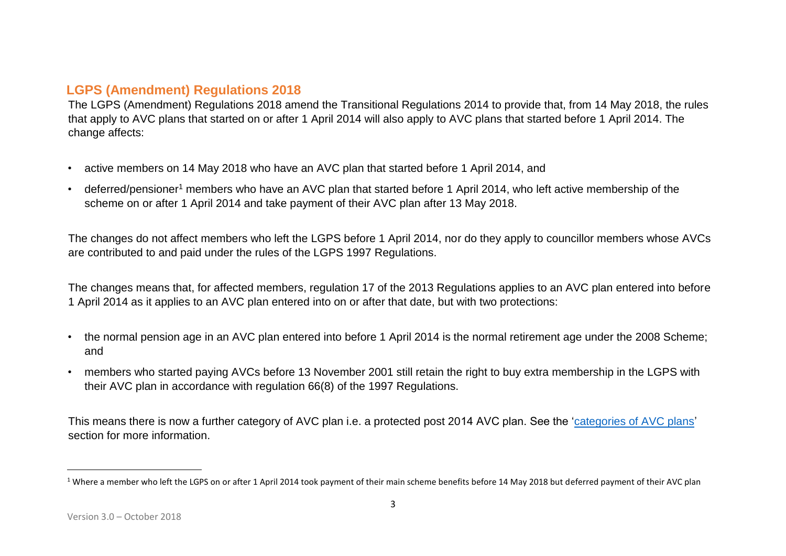# **LGPS (Amendment) Regulations 2018**

The LGPS (Amendment) Regulations 2018 amend the Transitional Regulations 2014 to provide that, from 14 May 2018, the rules that apply to AVC plans that started on or after 1 April 2014 will also apply to AVC plans that started before 1 April 2014. The change affects:

- active members on 14 May 2018 who have an AVC plan that started before 1 April 2014, and
- deferred/pensioner<sup>1</sup> members who have an AVC plan that started before 1 April 2014, who left active membership of the scheme on or after 1 April 2014 and take payment of their AVC plan after 13 May 2018.

The changes do not affect members who left the LGPS before 1 April 2014, nor do they apply to councillor members whose AVCs are contributed to and paid under the rules of the LGPS 1997 Regulations.

The changes means that, for affected members, regulation 17 of the 2013 Regulations applies to an AVC plan entered into before 1 April 2014 as it applies to an AVC plan entered into on or after that date, but with two protections:

- the normal pension age in an AVC plan entered into before 1 April 2014 is the normal retirement age under the 2008 Scheme; and
- members who started paying AVCs before 13 November 2001 still retain the right to buy extra membership in the LGPS with their AVC plan in accordance with regulation 66(8) of the 1997 Regulations.

This means there is now a further category of AVC plan i.e. a protected post 2014 AVC plan. See the 'categories of AVC plans' section for more information.

 $1$  Where a member who left the LGPS on or after 1 April 2014 took payment of their main scheme benefits before 14 May 2018 but deferred payment of their AVC plan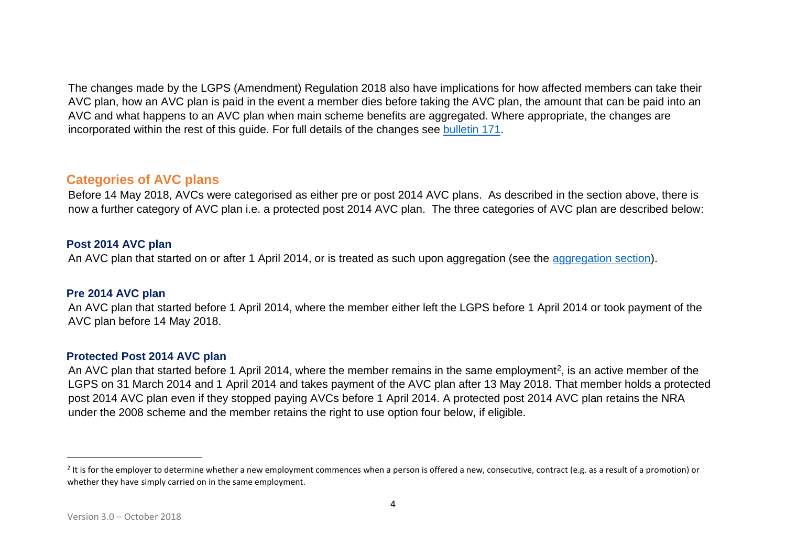The changes made by the LGPS (Amendment) Regulation 2018 also have implications for how affected members can take their AVC plan, how an AVC plan is paid in the event a member dies before taking the AVC plan, the amount that can be paid into an AVC and what happens to an AVC plan when main scheme benefits are aggregated. Where appropriate, the changes are incorporated within the rest of this guide. For full details of the changes se[e](http://www.lgpsregs.org/bulletinsetc/bulletins.php) [bulletin 171.](http://www.lgpsregs.org/bulletinsetc/bulletins.php) 

### **Categories of AVC plans**

Before 14 May 2018, AVCs were categorised as either pre or post 2014 AVC plans. As described in the section above, there is now a further category of AVC plan i.e. a protected post 2014 AVC plan. The three categories of AVC plan are described below:

#### **Post 2014 AVC plan**

An AVC plan that started on or after 1 April 2014, or is treated as such upon aggregation (see the aggregation section).

#### **Pre 2014 AVC plan**

An AVC plan that started before 1 April 2014, where the member either left the LGPS before 1 April 2014 or took payment of the AVC plan before 14 May 2018.

#### **Protected Post 2014 AVC plan**

An AVC plan that started before 1 April 2014, where the member remains in the same employment<sup>2</sup>, is an active member of the LGPS on 31 March 2014 and 1 April 2014 and takes payment of the AVC plan after 13 May 2018. That member holds a protected post 2014 AVC plan even if they stopped paying AVCs before 1 April 2014. A protected post 2014 AVC plan retains the NRA under the 2008 scheme and the member retains the right to use option four below, if eligible.

<sup>&</sup>lt;sup>2</sup> It is for the employer to determine whether a new employment commences when a person is offered a new, consecutive, contract (e.g. as a result of a promotion) or whether they have simply carried on in the same employment.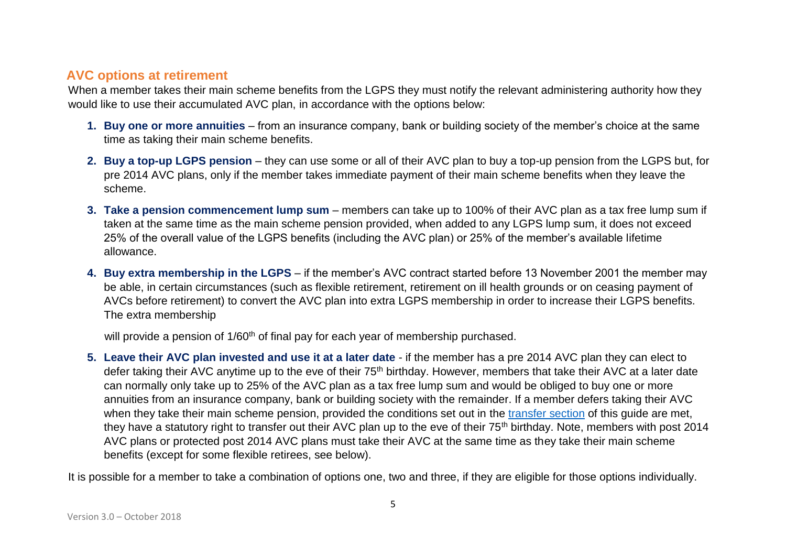# **AVC options at retirement**

When a member takes their main scheme benefits from the LGPS they must notify the relevant administering authority how they would like to use their accumulated AVC plan, in accordance with the options below:

- **1. Buy one or more annuities**  from an insurance company, bank or building society of the member's choice at the same time as taking their main scheme benefits.
- **2. Buy a top-up LGPS pension** they can use some or all of their AVC plan to buy a top-up pension from the LGPS but, for pre 2014 AVC plans, only if the member takes immediate payment of their main scheme benefits when they leave the scheme.
- **3. Take a pension commencement lump sum**  members can take up to 100% of their AVC plan as a tax free lump sum if taken at the same time as the main scheme pension provided, when added to any LGPS lump sum, it does not exceed 25% of the overall value of the LGPS benefits (including the AVC plan) or 25% of the member's available lifetime allowance.
- **4. Buy extra membership in the LGPS** if the member's AVC contract started before 13 November 2001 the member may be able, in certain circumstances (such as flexible retirement, retirement on ill health grounds or on ceasing payment of AVCs before retirement) to convert the AVC plan into extra LGPS membership in order to increase their LGPS benefits. The extra membership

will provide a pension of 1/60<sup>th</sup> of final pay for each year of membership purchased.

**5. Leave their AVC plan invested and use it at a later date** - if the member has a pre 2014 AVC plan they can elect to defer taking their AVC anytime up to the eve of their 75<sup>th</sup> birthday. However, members that take their AVC at a later date can normally only take up to 25% of the AVC plan as a tax free lump sum and would be obliged to buy one or more annuities from an insurance company, bank or building society with the remainder. If a member defers taking their AVC when they take their main scheme pension, provided the conditions set out in the transfer section of this guide are met, they have a statutory right to transfer out their AVC plan up to the eve of their 75<sup>th</sup> birthday. Note, members with post 2014 AVC plans or protected post 2014 AVC plans must take their AVC at the same time as they take their main scheme benefits (except for some flexible retirees, see below).

It is possible for a member to take a combination of options one, two and three, if they are eligible for those options individually.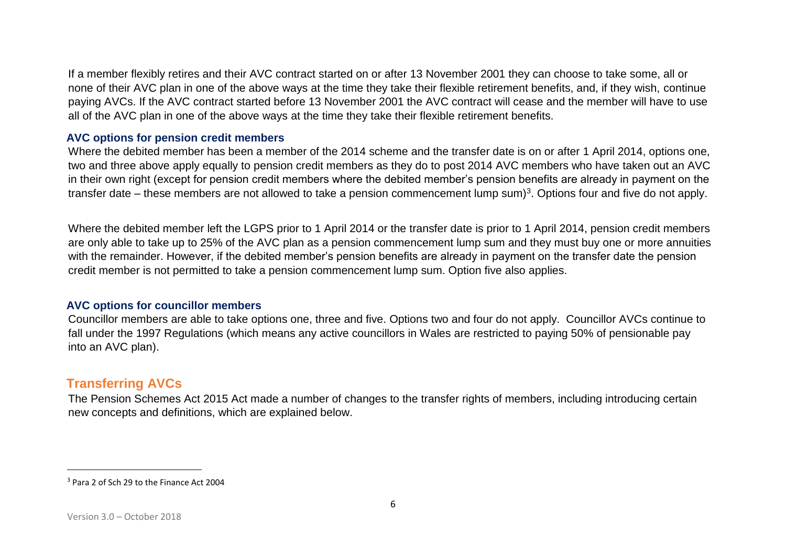If a member flexibly retires and their AVC contract started on or after 13 November 2001 they can choose to take some, all or none of their AVC plan in one of the above ways at the time they take their flexible retirement benefits, and, if they wish, continue paying AVCs. If the AVC contract started before 13 November 2001 the AVC contract will cease and the member will have to use all of the AVC plan in one of the above ways at the time they take their flexible retirement benefits.

#### **AVC options for pension credit members**

Where the debited member has been a member of the 2014 scheme and the transfer date is on or after 1 April 2014, options one, two and three above apply equally to pension credit members as they do to post 2014 AVC members who have taken out an AVC in their own right (except for pension credit members where the debited member's pension benefits are already in payment on the transfer date – these members are not allowed to take a pension commencement lump sum)<sup>3</sup>. Options four and five do not apply.

Where the debited member left the LGPS prior to 1 April 2014 or the transfer date is prior to 1 April 2014, pension credit members are only able to take up to 25% of the AVC plan as a pension commencement lump sum and they must buy one or more annuities with the remainder. However, if the debited member's pension benefits are already in payment on the transfer date the pension credit member is not permitted to take a pension commencement lump sum. Option five also applies.

#### **AVC options for councillor members**

Councillor members are able to take options one, three and five. Options two and four do not apply. Councillor AVCs continue to fall under the 1997 Regulations (which means any active councillors in Wales are restricted to paying 50% of pensionable pay into an AVC plan).

# **Transferring AVCs**

The Pension Schemes Act 2015 Act made a number of changes to the transfer rights of members, including introducing certain new concepts and definitions, which are explained below.

<sup>3</sup> Para 2 of Sch 29 to the Finance Act 2004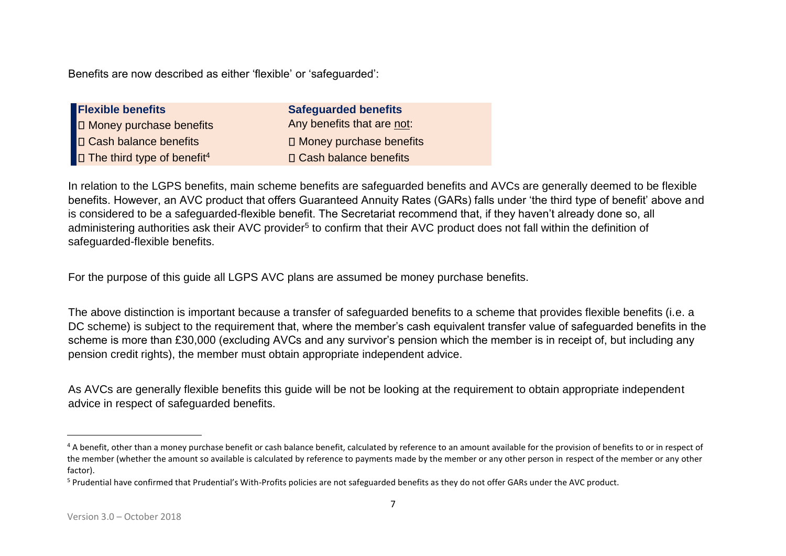Benefits are now described as either 'flexible' or 'safeguarded':

| <b>Safeguarded benefits</b> |
|-----------------------------|
| Any benefits that are not:  |
| □ Money purchase benefits   |
| □ Cash balance benefits     |
|                             |

In relation to the LGPS benefits, main scheme benefits are safeguarded benefits and AVCs are generally deemed to be flexible benefits. However, an AVC product that offers Guaranteed Annuity Rates (GARs) falls under 'the third type of benefit' above and is considered to be a safeguarded-flexible benefit. The Secretariat recommend that, if they haven't already done so, all administering authorities ask their AVC provider<sup>5</sup> to confirm that their AVC product does not fall within the definition of safeguarded-flexible benefits.

For the purpose of this guide all LGPS AVC plans are assumed be money purchase benefits.

The above distinction is important because a transfer of safeguarded benefits to a scheme that provides flexible benefits (i.e. a DC scheme) is subject to the requirement that, where the member's cash equivalent transfer value of safeguarded benefits in the scheme is more than £30,000 (excluding AVCs and any survivor's pension which the member is in receipt of, but including any pension credit rights), the member must obtain appropriate independent advice.

As AVCs are generally flexible benefits this guide will be not be looking at the requirement to obtain appropriate independent advice in respect of safeguarded benefits.

<sup>&</sup>lt;sup>4</sup> A benefit, other than a money purchase benefit or cash balance benefit, calculated by reference to an amount available for the provision of benefits to or in respect of the member (whether the amount so available is calculated by reference to payments made by the member or any other person in respect of the member or any other factor).

<sup>5</sup> Prudential have confirmed that Prudential's With-Profits policies are not safeguarded benefits as they do not offer GARs under the AVC product.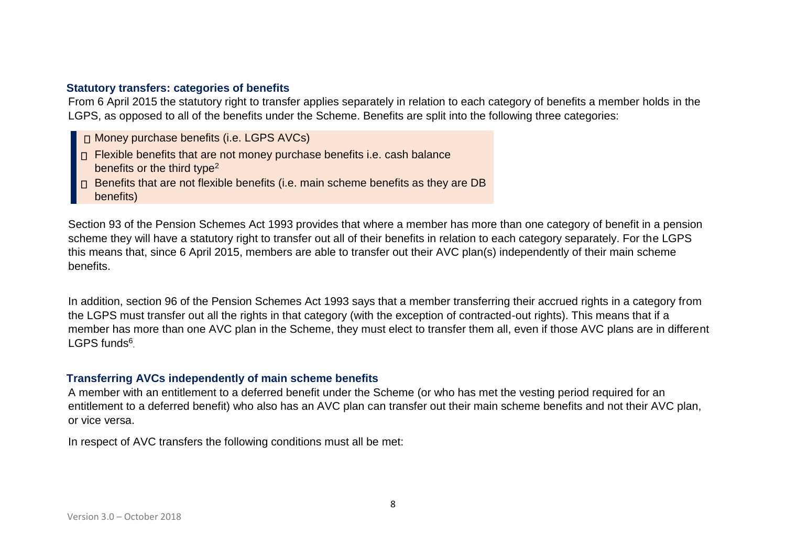#### **Statutory transfers: categories of benefits**

From 6 April 2015 the statutory right to transfer applies separately in relation to each category of benefits a member holds in the LGPS, as opposed to all of the benefits under the Scheme. Benefits are split into the following three categories:

Money purchase benefits (i.e. LGPS AVCs)

- $\Box$  Flexible benefits that are not money purchase benefits i.e. cash balance benefits or the third type<sup>2</sup>
- □ Benefits that are not flexible benefits (i.e. main scheme benefits as they are DB benefits)

Section 93 of the Pension Schemes Act 1993 provides that where a member has more than one category of benefit in a pension scheme they will have a statutory right to transfer out all of their benefits in relation to each category separately. For the LGPS this means that, since 6 April 2015, members are able to transfer out their AVC plan(s) independently of their main scheme benefits.

In addition, section 96 of the Pension Schemes Act 1993 says that a member transferring their accrued rights in a category from the LGPS must transfer out all the rights in that category (with the exception of contracted-out rights). This means that if a member has more than one AVC plan in the Scheme, they must elect to transfer them all, even if those AVC plans are in different LGPS funds<sup>6</sup>.

#### **Transferring AVCs independently of main scheme benefits**

A member with an entitlement to a deferred benefit under the Scheme (or who has met the vesting period required for an entitlement to a deferred benefit) who also has an AVC plan can transfer out their main scheme benefits and not their AVC plan, or vice versa.

In respect of AVC transfers the following conditions must all be met: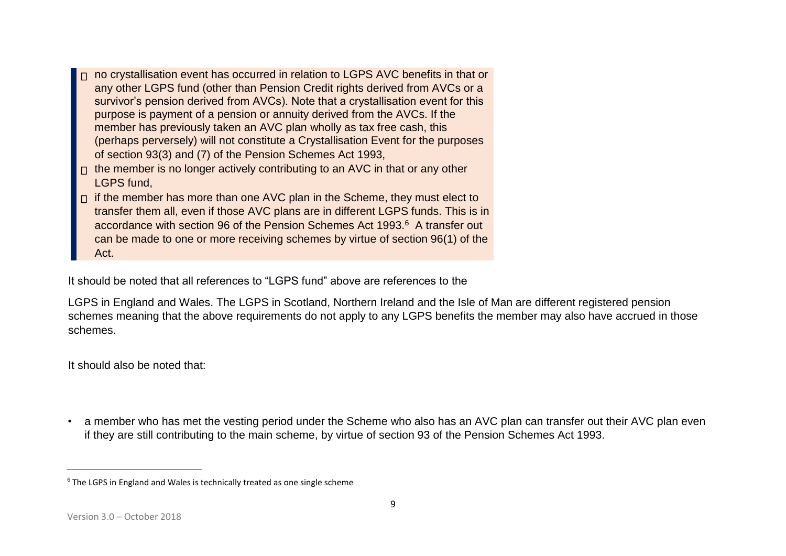- n no crystallisation event has occurred in relation to LGPS AVC benefits in that or any other LGPS fund (other than Pension Credit rights derived from AVCs or a survivor's pension derived from AVCs). Note that a crystallisation event for this purpose is payment of a pension or annuity derived from the AVCs. If the member has previously taken an AVC plan wholly as tax free cash, this (perhaps perversely) will not constitute a Crystallisation Event for the purposes of section 93(3) and (7) of the Pension Schemes Act 1993,
- $\Box$  the member is no longer actively contributing to an AVC in that or any other LGPS fund,
- $\Box$  if the member has more than one AVC plan in the Scheme, they must elect to transfer them all, even if those AVC plans are in different LGPS funds. This is in accordance with section 96 of the Pension Schemes Act 1993.<sup>6</sup> A transfer out can be made to one or more receiving schemes by virtue of section 96(1) of the Act.

It should be noted that all references to "LGPS fund" above are references to the

LGPS in England and Wales. The LGPS in Scotland, Northern Ireland and the Isle of Man are different registered pension schemes meaning that the above requirements do not apply to any LGPS benefits the member may also have accrued in those schemes.

It should also be noted that:

• a member who has met the vesting period under the Scheme who also has an AVC plan can transfer out their AVC plan even if they are still contributing to the main scheme, by virtue of section 93 of the Pension Schemes Act 1993.

 $6$  The LGPS in England and Wales is technically treated as one single scheme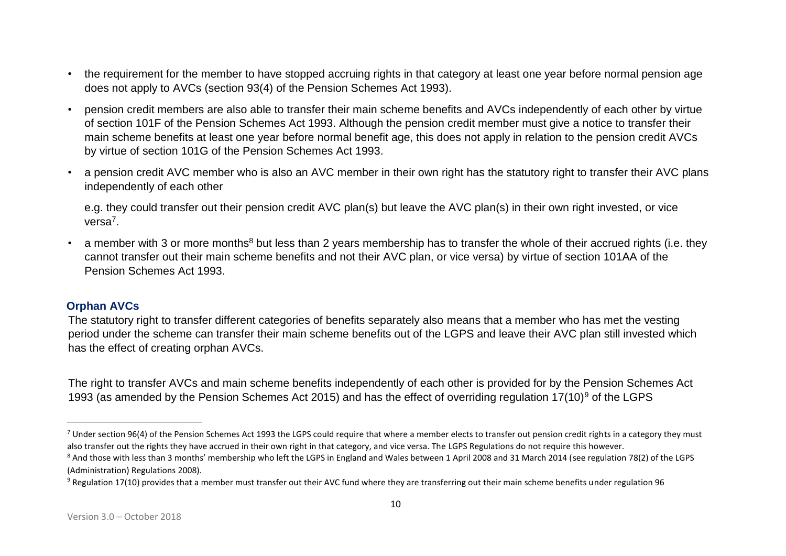- the requirement for the member to have stopped accruing rights in that category at least one year before normal pension age does not apply to AVCs (section 93(4) of the Pension Schemes Act 1993).
- pension credit members are also able to transfer their main scheme benefits and AVCs independently of each other by virtue of section 101F of the Pension Schemes Act 1993. Although the pension credit member must give a notice to transfer their main scheme benefits at least one year before normal benefit age, this does not apply in relation to the pension credit AVCs by virtue of section 101G of the Pension Schemes Act 1993.
- a pension credit AVC member who is also an AVC member in their own right has the statutory right to transfer their AVC plans independently of each other

e.g. they could transfer out their pension credit AVC plan(s) but leave the AVC plan(s) in their own right invested, or vice versa<sup>7</sup>.

a member with 3 or more months<sup>8</sup> but less than 2 years membership has to transfer the whole of their accrued rights (i.e. they cannot transfer out their main scheme benefits and not their AVC plan, or vice versa) by virtue of section 101AA of the Pension Schemes Act 1993.

#### **Orphan AVCs**

 $\overline{a}$ 

The statutory right to transfer different categories of benefits separately also means that a member who has met the vesting period under the scheme can transfer their main scheme benefits out of the LGPS and leave their AVC plan still invested which has the effect of creating orphan AVCs.

The right to transfer AVCs and main scheme benefits independently of each other is provided for by the Pension Schemes Act 1993 (as amended by the Pension Schemes Act 2015) and has the effect of overriding regulation 17(10)<sup>9</sup> of the LGPS

 $7$  Under section 96(4) of the Pension Schemes Act 1993 the LGPS could require that where a member elects to transfer out pension credit rights in a category they must also transfer out the rights they have accrued in their own right in that category, and vice versa. The LGPS Regulations do not require this however.

<sup>&</sup>lt;sup>8</sup> And those with less than 3 months' membership who left the LGPS in England and Wales between 1 April 2008 and 31 March 2014 (see regulation 78(2) of the LGPS (Administration) Regulations 2008).

 $9$  Regulation 17(10) provides that a member must transfer out their AVC fund where they are transferring out their main scheme benefits under regulation 96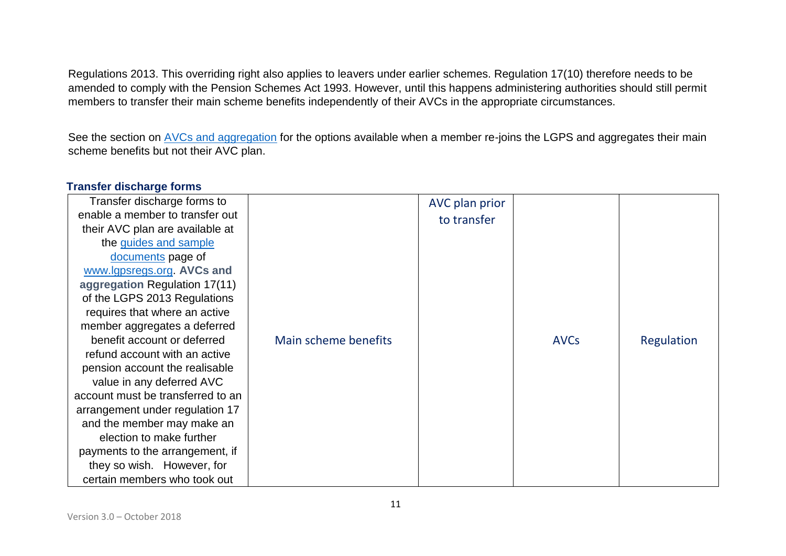Regulations 2013. This overriding right also applies to leavers under earlier schemes. Regulation 17(10) therefore needs to be amended to comply with the Pension Schemes Act 1993. However, until this happens administering authorities should still permit members to transfer their main scheme benefits independently of their AVCs in the appropriate circumstances.

See the section on AVCs and aggregation for the options available when a member re-joins the LGPS and aggregates their main scheme benefits but not their AVC plan.

| Transfer discharge forms to       |                      | AVC plan prior |             |            |
|-----------------------------------|----------------------|----------------|-------------|------------|
| enable a member to transfer out   |                      | to transfer    |             |            |
| their AVC plan are available at   |                      |                |             |            |
| the guides and sample             |                      |                |             |            |
| documents page of                 |                      |                |             |            |
| www.lgpsregs.org. AVCs and        |                      |                |             |            |
| aggregation Regulation 17(11)     |                      |                |             |            |
| of the LGPS 2013 Regulations      |                      |                |             |            |
| requires that where an active     |                      |                |             |            |
| member aggregates a deferred      |                      |                |             |            |
| benefit account or deferred       | Main scheme benefits |                | <b>AVCs</b> | Regulation |
| refund account with an active     |                      |                |             |            |
| pension account the realisable    |                      |                |             |            |
| value in any deferred AVC         |                      |                |             |            |
| account must be transferred to an |                      |                |             |            |
| arrangement under regulation 17   |                      |                |             |            |
| and the member may make an        |                      |                |             |            |
| election to make further          |                      |                |             |            |
| payments to the arrangement, if   |                      |                |             |            |
| they so wish. However, for        |                      |                |             |            |
| certain members who took out      |                      |                |             |            |

#### **Transfer discharge forms**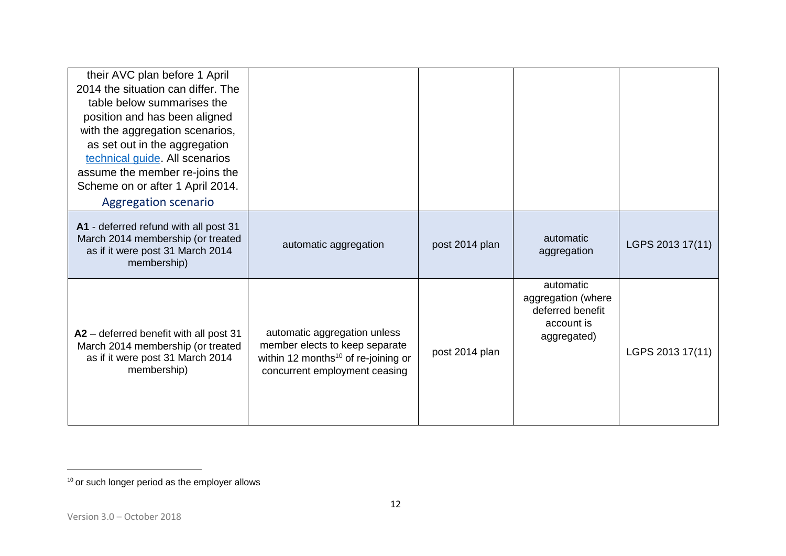| their AVC plan before 1 April<br>2014 the situation can differ. The<br>table below summarises the<br>position and has been aligned<br>with the aggregation scenarios,<br>as set out in the aggregation<br>technical guide. All scenarios<br>assume the member re-joins the<br>Scheme on or after 1 April 2014.<br><b>Aggregation scenario</b> |                                                                                                                                                    |                |                                                                                  |                  |
|-----------------------------------------------------------------------------------------------------------------------------------------------------------------------------------------------------------------------------------------------------------------------------------------------------------------------------------------------|----------------------------------------------------------------------------------------------------------------------------------------------------|----------------|----------------------------------------------------------------------------------|------------------|
| A1 - deferred refund with all post 31<br>March 2014 membership (or treated<br>as if it were post 31 March 2014<br>membership)                                                                                                                                                                                                                 | automatic aggregation                                                                                                                              | post 2014 plan | automatic<br>aggregation                                                         | LGPS 2013 17(11) |
| A2 - deferred benefit with all post 31<br>March 2014 membership (or treated<br>as if it were post 31 March 2014<br>membership)                                                                                                                                                                                                                | automatic aggregation unless<br>member elects to keep separate<br>within 12 months <sup>10</sup> of re-joining or<br>concurrent employment ceasing | post 2014 plan | automatic<br>aggregation (where<br>deferred benefit<br>account is<br>aggregated) | LGPS 2013 17(11) |

 $10$  or such longer period as the employer allows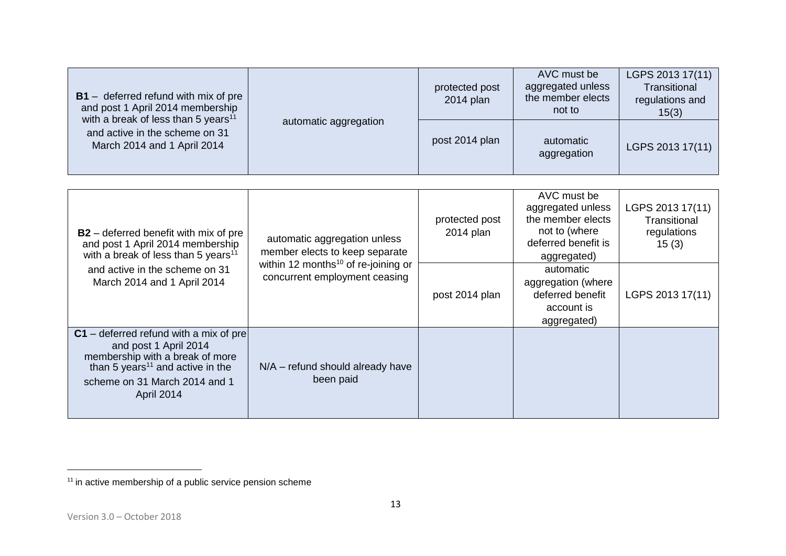| $B1 -$ deferred refund with mix of pre<br>and post 1 April 2014 membership<br>with a break of less than 5 years <sup>11</sup><br>and active in the scheme on 31<br>March 2014 and 1 April 2014 | automatic aggregation | protected post<br>2014 plan | AVC must be<br>aggregated unless<br>the member elects<br>not to | LGPS 2013 17(11)<br>Transitional<br>regulations and<br>15(3) |
|------------------------------------------------------------------------------------------------------------------------------------------------------------------------------------------------|-----------------------|-----------------------------|-----------------------------------------------------------------|--------------------------------------------------------------|
|                                                                                                                                                                                                |                       | post 2014 plan              | automatic<br>aggregation                                        | LGPS 2013 17(11)                                             |
|                                                                                                                                                                                                |                       |                             |                                                                 |                                                              |
|                                                                                                                                                                                                |                       | protected post              | AVC must be<br>aggregated unless<br>the member elects           | LGPS 2013 17(11)<br>Transitional                             |

| <b>B2</b> – deferred benefit with mix of pre<br>and post 1 April 2014 membership<br>with a break of less than 5 years <sup>11</sup>                                                                 | automatic aggregation unless<br>member elects to keep separate                   | protected post<br>2014 plan | the member elects<br>not to (where<br>deferred benefit is<br>aggregated)         | Transitional<br>regulations<br>15(3) |
|-----------------------------------------------------------------------------------------------------------------------------------------------------------------------------------------------------|----------------------------------------------------------------------------------|-----------------------------|----------------------------------------------------------------------------------|--------------------------------------|
| and active in the scheme on 31<br>March 2014 and 1 April 2014                                                                                                                                       | within 12 months <sup>10</sup> of re-joining or<br>concurrent employment ceasing | post 2014 plan              | automatic<br>aggregation (where<br>deferred benefit<br>account is<br>aggregated) | LGPS 2013 17(11)                     |
| $C1$ – deferred refund with a mix of pre<br>and post 1 April 2014<br>membership with a break of more<br>than 5 years <sup>11</sup> and active in the<br>scheme on 31 March 2014 and 1<br>April 2014 | $N/A$ – refund should already have<br>been paid                                  |                             |                                                                                  |                                      |

 $11$  in active membership of a public service pension scheme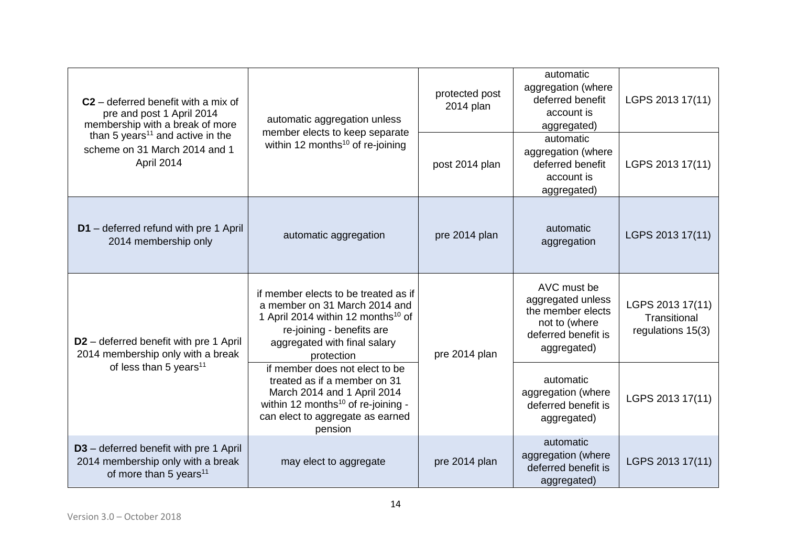| $C2$ – deferred benefit with a mix of<br>pre and post 1 April 2014<br>membership with a break of more<br>than 5 years <sup>11</sup> and active in the<br>scheme on 31 March 2014 and 1<br>April 2014 | automatic aggregation unless<br>member elects to keep separate<br>within 12 months <sup>10</sup> of re-joining                                                                                     | protected post<br>2014 plan | automatic<br>aggregation (where<br>deferred benefit<br>account is<br>aggregated)                             | LGPS 2013 17(11)                                      |
|------------------------------------------------------------------------------------------------------------------------------------------------------------------------------------------------------|----------------------------------------------------------------------------------------------------------------------------------------------------------------------------------------------------|-----------------------------|--------------------------------------------------------------------------------------------------------------|-------------------------------------------------------|
|                                                                                                                                                                                                      |                                                                                                                                                                                                    | post 2014 plan              | automatic<br>aggregation (where<br>deferred benefit<br>account is<br>aggregated)                             | LGPS 2013 17(11)                                      |
| D1 - deferred refund with pre 1 April<br>2014 membership only                                                                                                                                        | automatic aggregation                                                                                                                                                                              | pre 2014 plan               | automatic<br>aggregation                                                                                     | LGPS 2013 17(11)                                      |
| D <sub>2</sub> – deferred benefit with pre 1 April<br>2014 membership only with a break<br>of less than 5 years <sup>11</sup>                                                                        | if member elects to be treated as if<br>a member on 31 March 2014 and<br>1 April 2014 within 12 months <sup>10</sup> of<br>re-joining - benefits are<br>aggregated with final salary<br>protection | pre 2014 plan               | AVC must be<br>aggregated unless<br>the member elects<br>not to (where<br>deferred benefit is<br>aggregated) | LGPS 2013 17(11)<br>Transitional<br>regulations 15(3) |
|                                                                                                                                                                                                      | if member does not elect to be<br>treated as if a member on 31<br>March 2014 and 1 April 2014<br>within 12 months <sup>10</sup> of re-joining -<br>can elect to aggregate as earned<br>pension     |                             | automatic<br>aggregation (where<br>deferred benefit is<br>aggregated)                                        | LGPS 2013 17(11)                                      |
| D3 - deferred benefit with pre 1 April<br>2014 membership only with a break<br>of more than 5 years <sup>11</sup>                                                                                    | may elect to aggregate                                                                                                                                                                             | pre 2014 plan               | automatic<br>aggregation (where<br>deferred benefit is<br>aggregated)                                        | LGPS 2013 17(11)                                      |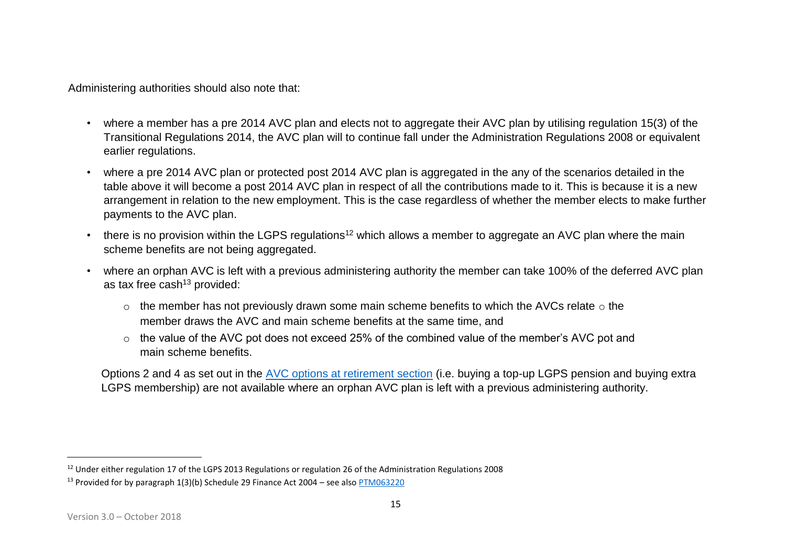Administering authorities should also note that:

- where a member has a pre 2014 AVC plan and elects not to aggregate their AVC plan by utilising regulation 15(3) of the Transitional Regulations 2014, the AVC plan will to continue fall under the Administration Regulations 2008 or equivalent earlier regulations.
- where a pre 2014 AVC plan or protected post 2014 AVC plan is aggregated in the any of the scenarios detailed in the table above it will become a post 2014 AVC plan in respect of all the contributions made to it. This is because it is a new arrangement in relation to the new employment. This is the case regardless of whether the member elects to make further payments to the AVC plan.
- there is no provision within the LGPS regulations<sup>12</sup> which allows a member to aggregate an AVC plan where the main scheme benefits are not being aggregated.
- where an orphan AVC is left with a previous administering authority the member can take 100% of the deferred AVC plan as tax free cash $13$  provided:
	- $\circ$  the member has not previously drawn some main scheme benefits to which the AVCs relate  $\circ$  the member draws the AVC and main scheme benefits at the same time, and
	- o the value of the AVC pot does not exceed 25% of the combined value of the member's AVC pot and main scheme benefits.

Options 2 and 4 as set out in the AVC options at retirement section (i.e. buying a top-up LGPS pension and buying extra LGPS membership) are not available where an orphan AVC plan is left with a previous administering authority.

<sup>&</sup>lt;sup>12</sup> Under either regulation 17 of the LGPS 2013 Regulations or regulation 26 of the Administration Regulations 2008

<sup>&</sup>lt;sup>13</sup> Provided for by paragraph 1(3)(b) Schedule 29 Finance Act 2004 – see also [PTM063220](https://www.gov.uk/hmrc-internal-manuals/pensions-tax-manual/ptm063220)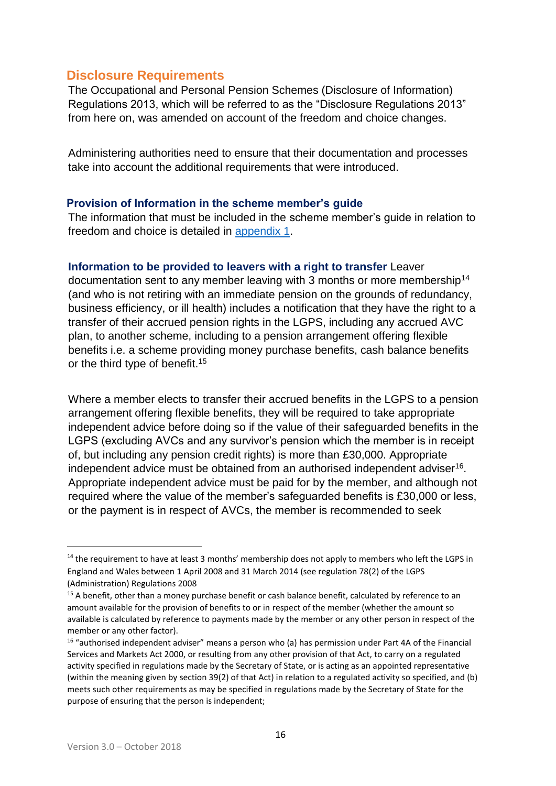### **Disclosure Requirements**

The Occupational and Personal Pension Schemes (Disclosure of Information) Regulations 2013, which will be referred to as the "Disclosure Regulations 2013" from here on, was amended on account of the freedom and choice changes.

Administering authorities need to ensure that their documentation and processes take into account the additional requirements that were introduced.

#### **Provision of Information in the scheme member's guide**

The information that must be included in the scheme member's guide in relation to freedom and choice is detailed in [appendix 1.](http://lgpslibrary.org/assets/gas/ew/FCAVC_app1.docx.pdf) 

#### **Information to be provided to leavers with a right to transfer** Leaver

documentation sent to any member leaving with 3 months or more membership<sup>14</sup> (and who is not retiring with an immediate pension on the grounds of redundancy, business efficiency, or ill health) includes a notification that they have the right to a transfer of their accrued pension rights in the LGPS, including any accrued AVC plan, to another scheme, including to a pension arrangement offering flexible benefits i.e. a scheme providing money purchase benefits, cash balance benefits or the third type of benefit.<sup>15</sup>

Where a member elects to transfer their accrued benefits in the LGPS to a pension arrangement offering flexible benefits, they will be required to take appropriate independent advice before doing so if the value of their safeguarded benefits in the LGPS (excluding AVCs and any survivor's pension which the member is in receipt of, but including any pension credit rights) is more than £30,000. Appropriate independent advice must be obtained from an authorised independent adviser<sup>16</sup>. Appropriate independent advice must be paid for by the member, and although not required where the value of the member's safeguarded benefits is £30,000 or less, or the payment is in respect of AVCs, the member is recommended to seek

1

<sup>&</sup>lt;sup>14</sup> the requirement to have at least 3 months' membership does not apply to members who left the LGPS in England and Wales between 1 April 2008 and 31 March 2014 (see regulation 78(2) of the LGPS (Administration) Regulations 2008

<sup>&</sup>lt;sup>15</sup> A benefit, other than a money purchase benefit or cash balance benefit, calculated by reference to an amount available for the provision of benefits to or in respect of the member (whether the amount so available is calculated by reference to payments made by the member or any other person in respect of the member or any other factor).

<sup>&</sup>lt;sup>16</sup> "authorised independent adviser" means a person who (a) has permission under Part 4A of the Financial Services and Markets Act 2000, or resulting from any other provision of that Act, to carry on a regulated activity specified in regulations made by the Secretary of State, or is acting as an appointed representative (within the meaning given by [section 39\(2\) of that Act\)](https://perspective.info/documents/act-fsma2000/#act-fsma2000-txt-39.2) in relation to a regulated activity so specified, and (b) meets such other requirements as may be specified in regulations made by the Secretary of State for the purpose of ensuring that the person is independent;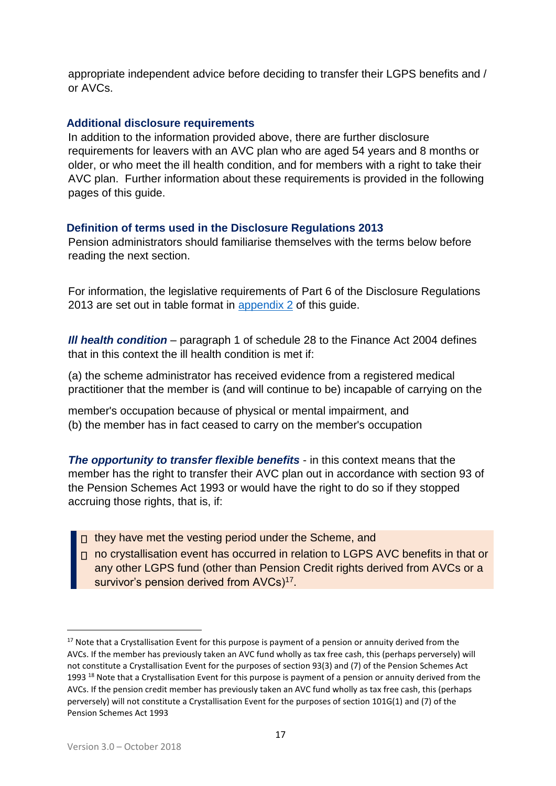appropriate independent advice before deciding to transfer their LGPS benefits and / or AVCs.

#### **Additional disclosure requirements**

In addition to the information provided above, there are further disclosure requirements for leavers with an AVC plan who are aged 54 years and 8 months or older, or who meet the ill health condition, and for members with a right to take their AVC plan. Further information about these requirements is provided in the following pages of this guide.

#### **Definition of terms used in the Disclosure Regulations 2013**

Pension administrators should familiarise themselves with the terms below before reading the next section.

For information, the legislative requirements of Part 6 of the Disclosure Regulations 2013 are set out in table format in [appendix 2](http://lgpslibrary.org/assets/gas/ew/FCAVC_app2.docx.pdf) of this guide.

*III health condition – paragraph 1 of schedule 28 to the Finance Act 2004 defines* that in this context the ill health condition is met if:

(a) the scheme administrator has received evidence from a registered medical practitioner that the member is (and will continue to be) incapable of carrying on the

member's occupation because of physical or mental impairment, and (b) the member has in fact ceased to carry on the member's occupation

*The opportunity to transfer flexible benefits* - in this context means that the member has the right to transfer their AVC plan out in accordance with section 93 of the Pension Schemes Act 1993 or would have the right to do so if they stopped accruing those rights, that is, if:

- $\Box$  they have met the vesting period under the Scheme, and
- n no crystallisation event has occurred in relation to LGPS AVC benefits in that or any other LGPS fund (other than Pension Credit rights derived from AVCs or a survivor's pension derived from AVCs)<sup>17</sup>.

<u>.</u>

<sup>&</sup>lt;sup>17</sup> Note that a Crystallisation Event for this purpose is payment of a pension or annuity derived from the AVCs. If the member has previously taken an AVC fund wholly as tax free cash, this (perhaps perversely) will not constitute a Crystallisation Event for the purposes of section 93(3) and (7) of the Pension Schemes Act 1993 <sup>18</sup> Note that a Crystallisation Event for this purpose is payment of a pension or annuity derived from the AVCs. If the pension credit member has previously taken an AVC fund wholly as tax free cash, this (perhaps perversely) will not constitute a Crystallisation Event for the purposes of section 101G(1) and (7) of the Pension Schemes Act 1993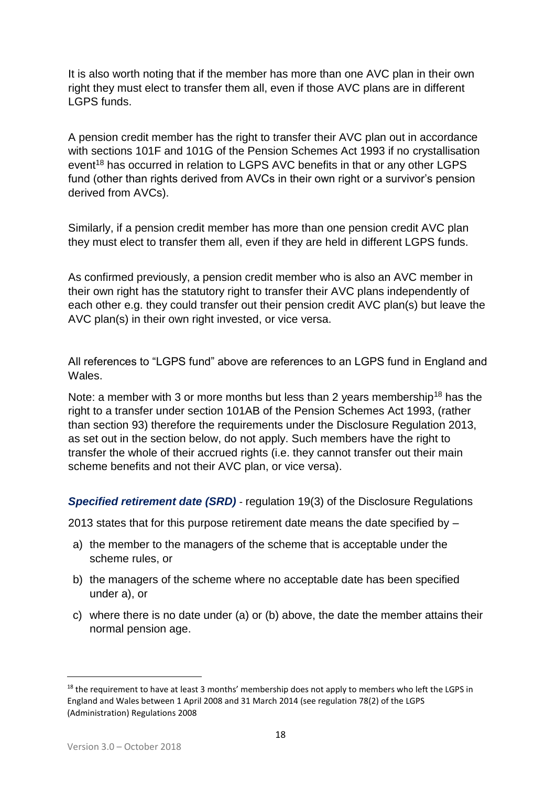It is also worth noting that if the member has more than one AVC plan in their own right they must elect to transfer them all, even if those AVC plans are in different LGPS funds.

A pension credit member has the right to transfer their AVC plan out in accordance with sections 101F and 101G of the Pension Schemes Act 1993 if no crystallisation event<sup>18</sup> has occurred in relation to LGPS AVC benefits in that or any other LGPS fund (other than rights derived from AVCs in their own right or a survivor's pension derived from AVCs).

Similarly, if a pension credit member has more than one pension credit AVC plan they must elect to transfer them all, even if they are held in different LGPS funds.

As confirmed previously, a pension credit member who is also an AVC member in their own right has the statutory right to transfer their AVC plans independently of each other e.g. they could transfer out their pension credit AVC plan(s) but leave the AVC plan(s) in their own right invested, or vice versa.

All references to "LGPS fund" above are references to an LGPS fund in England and Wales.

Note: a member with 3 or more months but less than 2 years membership<sup>18</sup> has the right to a transfer under section 101AB of the Pension Schemes Act 1993, (rather than section 93) therefore the requirements under the Disclosure Regulation 2013, as set out in the section below, do not apply. Such members have the right to transfer the whole of their accrued rights (i.e. they cannot transfer out their main scheme benefits and not their AVC plan, or vice versa).

*Specified retirement date (SRD)* - regulation 19(3) of the Disclosure Regulations

2013 states that for this purpose retirement date means the date specified by –

- a) the member to the managers of the scheme that is acceptable under the scheme rules, or
- b) the managers of the scheme where no acceptable date has been specified under a), or
- c) where there is no date under (a) or (b) above, the date the member attains their normal pension age.

1

<sup>&</sup>lt;sup>18</sup> the requirement to have at least 3 months' membership does not apply to members who left the LGPS in England and Wales between 1 April 2008 and 31 March 2014 (see regulation 78(2) of the LGPS (Administration) Regulations 2008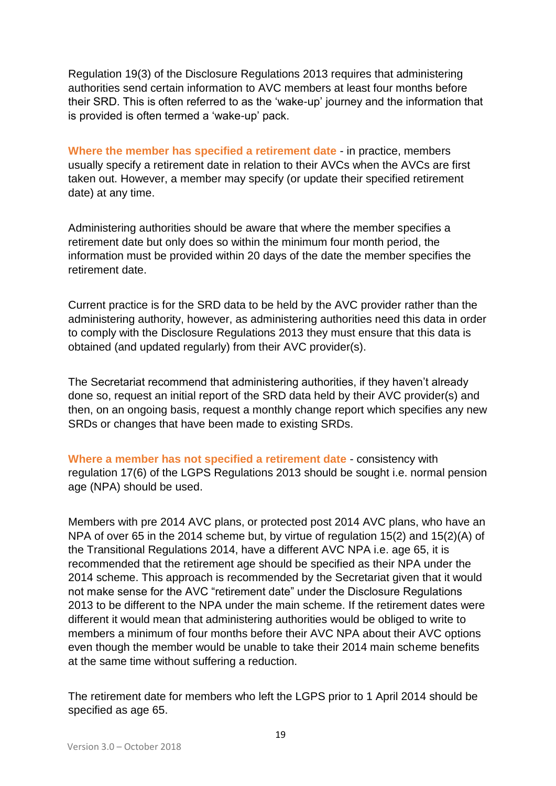Regulation 19(3) of the Disclosure Regulations 2013 requires that administering authorities send certain information to AVC members at least four months before their SRD. This is often referred to as the 'wake-up' journey and the information that is provided is often termed a 'wake-up' pack.

**Where the member has specified a retirement date** - in practice, members usually specify a retirement date in relation to their AVCs when the AVCs are first taken out. However, a member may specify (or update their specified retirement date) at any time.

Administering authorities should be aware that where the member specifies a retirement date but only does so within the minimum four month period, the information must be provided within 20 days of the date the member specifies the retirement date.

Current practice is for the SRD data to be held by the AVC provider rather than the administering authority, however, as administering authorities need this data in order to comply with the Disclosure Regulations 2013 they must ensure that this data is obtained (and updated regularly) from their AVC provider(s).

The Secretariat recommend that administering authorities, if they haven't already done so, request an initial report of the SRD data held by their AVC provider(s) and then, on an ongoing basis, request a monthly change report which specifies any new SRDs or changes that have been made to existing SRDs.

**Where a member has not specified a retirement date** - consistency with regulation 17(6) of the LGPS Regulations 2013 should be sought i.e. normal pension age (NPA) should be used.

Members with pre 2014 AVC plans, or protected post 2014 AVC plans, who have an NPA of over 65 in the 2014 scheme but, by virtue of regulation 15(2) and 15(2)(A) of the Transitional Regulations 2014, have a different AVC NPA i.e. age 65, it is recommended that the retirement age should be specified as their NPA under the 2014 scheme. This approach is recommended by the Secretariat given that it would not make sense for the AVC "retirement date" under the Disclosure Regulations 2013 to be different to the NPA under the main scheme. If the retirement dates were different it would mean that administering authorities would be obliged to write to members a minimum of four months before their AVC NPA about their AVC options even though the member would be unable to take their 2014 main scheme benefits at the same time without suffering a reduction.

The retirement date for members who left the LGPS prior to 1 April 2014 should be specified as age 65.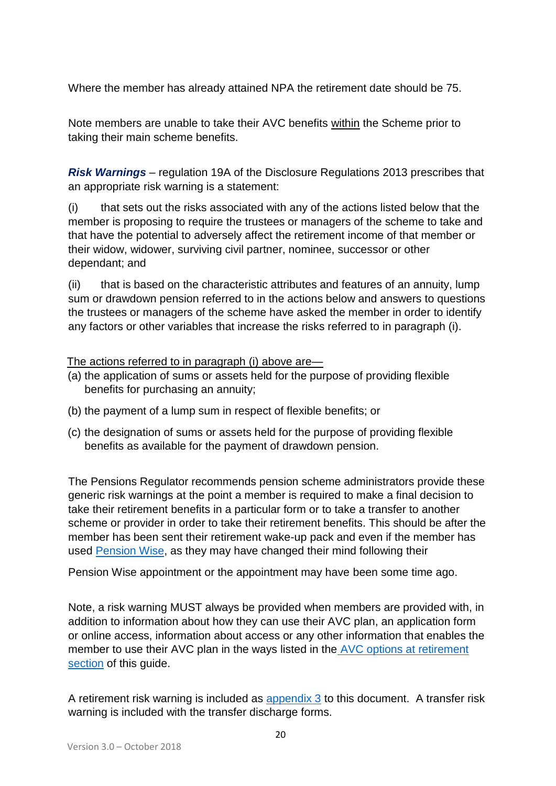Where the member has already attained NPA the retirement date should be 75.

Note members are unable to take their AVC benefits within the Scheme prior to taking their main scheme benefits.

*Risk Warnings* – regulation 19A of the Disclosure Regulations 2013 prescribes that an appropriate risk warning is a statement:

(i) that sets out the risks associated with any of the actions listed below that the member is proposing to require the trustees or managers of the scheme to take and that have the potential to adversely affect the retirement income of that member or their widow, widower, surviving civil partner, nominee, successor or other dependant; and

(ii) that is based on the characteristic attributes and features of an annuity, lump sum or drawdown pension referred to in the actions below and answers to questions the trustees or managers of the scheme have asked the member in order to identify any factors or other variables that increase the risks referred to in paragraph (i).

#### The actions referred to in paragraph (i) above are—

- (a) the application of sums or assets held for the purpose of providing flexible benefits for purchasing an annuity;
- (b) the payment of a lump sum in respect of flexible benefits; or
- (c) the designation of sums or assets held for the purpose of providing flexible benefits as available for the payment of drawdown pension.

The Pensions Regulator recommends pension scheme administrators provide these generic risk warnings at the point a member is required to make a final decision to take their retirement benefits in a particular form or to take a transfer to another scheme or provider in order to take their retirement benefits. This should be after the member has been sent their retirement wake-up pack and even if the member has used [Pension Wise,](https://www.pensionwise.gov.uk/en?gclid=EAIaIQobChMIvZj4q9Ha2QIVyb3tCh2D5QSnEAAYASAAEgLLp_D_BwE) as they may have changed their mind following their

Pension Wise appointment or the appointment may have been some time ago.

Note, a risk warning MUST always be provided when members are provided with, in addition to information about how they can use their AVC plan, an application form or online access, information about access or any other information that enables the member to use their AVC plan in the ways listed in the AVC options at retirement section of this guide.

A retirement risk warning is included as [appendix 3](http://lgpslibrary.org/assets/gas/ew/FCAVC_app3.docx) to this document. A transfer risk warning is included with the transfer discharge forms.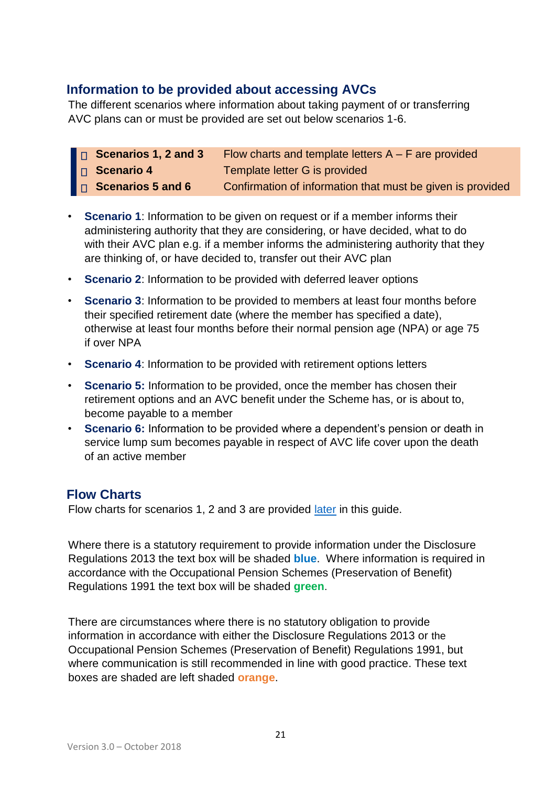# **Information to be provided about accessing AVCs**

The different scenarios where information about taking payment of or transferring AVC plans can or must be provided are set out below scenarios 1-6.

- □ **Scenarios 1, 2 and 3** Flow charts and template letters A F are provided **Scenario 4** Template letter G is provided **Scenarios 5 and 6** Confirmation of information that must be given is provided
- **Scenario 1**: Information to be given on request or if a member informs their administering authority that they are considering, or have decided, what to do with their AVC plan e.g. if a member informs the administering authority that they are thinking of, or have decided to, transfer out their AVC plan
- **Scenario 2**: Information to be provided with deferred leaver options
- **Scenario 3**: Information to be provided to members at least four months before their specified retirement date (where the member has specified a date), otherwise at least four months before their normal pension age (NPA) or age 75 if over NPA
- **Scenario 4**: Information to be provided with retirement options letters
- **Scenario 5:** Information to be provided, once the member has chosen their retirement options and an AVC benefit under the Scheme has, or is about to, become payable to a member
- **Scenario 6:** Information to be provided where a dependent's pension or death in service lump sum becomes payable in respect of AVC life cover upon the death of an active member

# **Flow Charts**

Flow charts for scenarios 1, 2 and 3 are provided *later* in this guide.

Where there is a statutory requirement to provide information under the Disclosure Regulations 2013 the text box will be shaded **blue**. Where information is required in accordance with the Occupational Pension Schemes (Preservation of Benefit) Regulations 1991 the text box will be shaded **green**.

There are circumstances where there is no statutory obligation to provide information in accordance with either the Disclosure Regulations 2013 or the Occupational Pension Schemes (Preservation of Benefit) Regulations 1991, but where communication is still recommended in line with good practice. These text boxes are shaded are left shaded **orange**.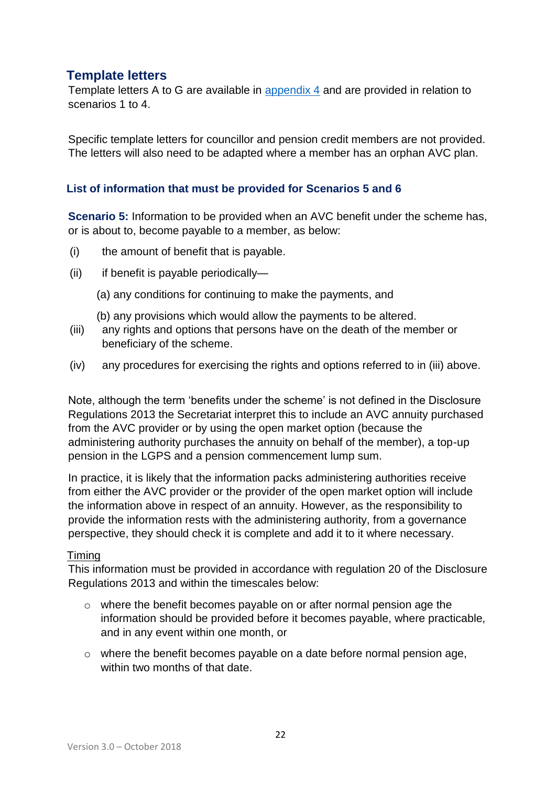# **Template letters**

Template letters A to G are available in [appendix 4](http://lgpslibrary.org/assets/gas/ew/FCAVC_app4.docx) and are provided in relation to scenarios 1 to 4.

Specific template letters for councillor and pension credit members are not provided. The letters will also need to be adapted where a member has an orphan AVC plan.

#### **List of information that must be provided for Scenarios 5 and 6**

**Scenario 5:** Information to be provided when an AVC benefit under the scheme has, or is about to, become payable to a member, as below:

- (i) the amount of benefit that is payable.
- (ii) if benefit is payable periodically—
	- (a) any conditions for continuing to make the payments, and
	- (b) any provisions which would allow the payments to be altered.
- (iii) any rights and options that persons have on the death of the member or beneficiary of the scheme.
- (iv) any procedures for exercising the rights and options referred to in (iii) above.

Note, although the term 'benefits under the scheme' is not defined in the Disclosure Regulations 2013 the Secretariat interpret this to include an AVC annuity purchased from the AVC provider or by using the open market option (because the administering authority purchases the annuity on behalf of the member), a top-up pension in the LGPS and a pension commencement lump sum.

In practice, it is likely that the information packs administering authorities receive from either the AVC provider or the provider of the open market option will include the information above in respect of an annuity. However, as the responsibility to provide the information rests with the administering authority, from a governance perspective, they should check it is complete and add it to it where necessary.

#### Timing

This information must be provided in accordance with regulation 20 of the Disclosure Regulations 2013 and within the timescales below:

- $\circ$  where the benefit becomes payable on or after normal pension age the information should be provided before it becomes payable, where practicable, and in any event within one month, or
- $\circ$  where the benefit becomes payable on a date before normal pension age, within two months of that date.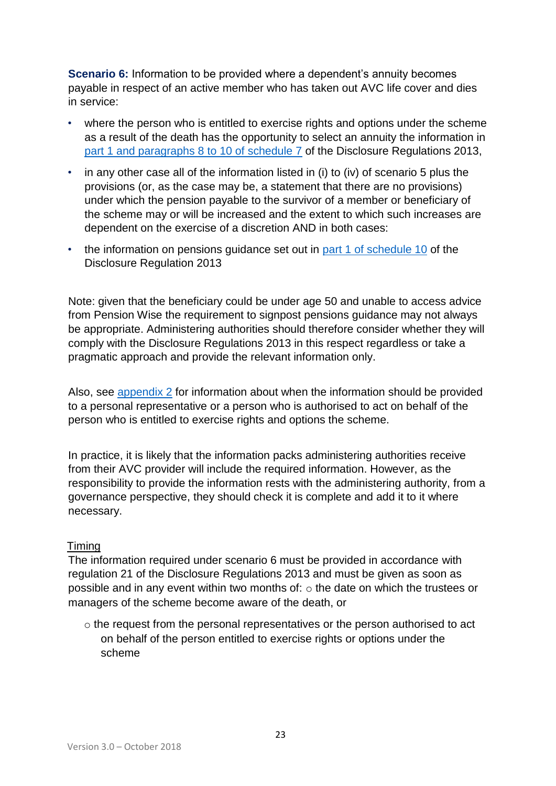**Scenario 6:** Information to be provided where a dependent's annuity becomes payable in respect of an active member who has taken out AVC life cover and dies in service:

- where the person who is entitled to exercise rights and options under the scheme as a result of the death has the opportunity to select an annuity the information in [part 1 and paragraphs 8 to 10 of schedule 7](http://lgpslibrary.org/assets/gas/ew/FCAVC_app2.docx) of the Disclosure Regulations 2013,
- in any other case all of the information listed in (i) to (iv) of scenario 5 plus the provisions (or, as the case may be, a statement that there are no provisions) under which the pension payable to the survivor of a member or beneficiary of the scheme may or will be increased and the extent to which such increases are dependent on the exercise of a discretion AND in both cases:
- the information on pensions guidance set out in [part 1 of](http://lgpslibrary.org/assets/gas/ew/FCAVC_app2.docx) [schedule 10](http://lgpslibrary.org/assets/gas/ew/FCAVC_app2.docx) of the Disclosure Regulation 2013

Note: given that the beneficiary could be under age 50 and unable to access advice from Pension Wise the requirement to signpost pensions guidance may not always be appropriate. Administering authorities should therefore consider whether they will comply with the Disclosure Regulations 2013 in this respect regardless or take a pragmatic approach and provide the relevant information only.

Also, see [appendix 2](http://lgpslibrary.org/assets/gas/ew/FCAVC_app2.docx.pdf) for information about when the information should be provided to a personal representative or a person who is authorised to act on behalf of the person who is entitled to exercise rights and options the scheme.

In practice, it is likely that the information packs administering authorities receive from their AVC provider will include the required information. However, as the responsibility to provide the information rests with the administering authority, from a governance perspective, they should check it is complete and add it to it where necessary.

#### Timing

The information required under scenario 6 must be provided in accordance with regulation 21 of the Disclosure Regulations 2013 and must be given as soon as possible and in any event within two months of: o the date on which the trustees or managers of the scheme become aware of the death, or

o the request from the personal representatives or the person authorised to act on behalf of the person entitled to exercise rights or options under the scheme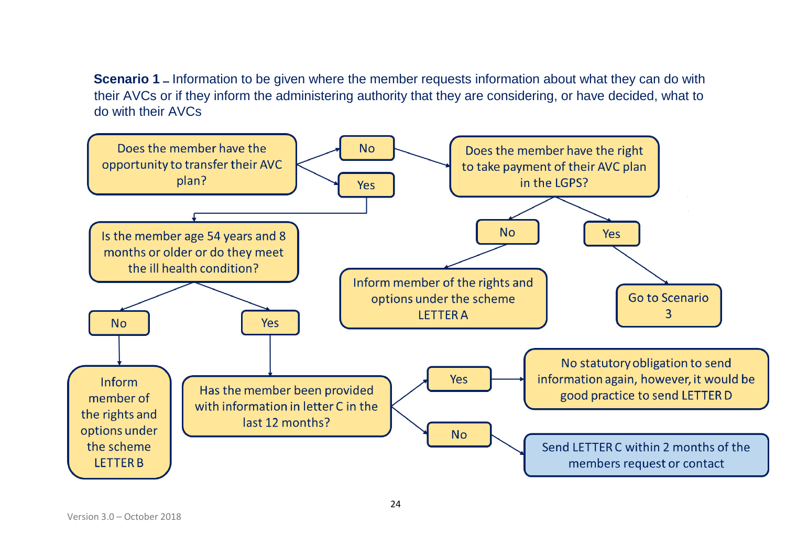**Scenario 1 –** Information to be given where the member requests information about what they can do with their AVCs or if they inform the administering authority that they are considering, or have decided, what to do with their AVCs

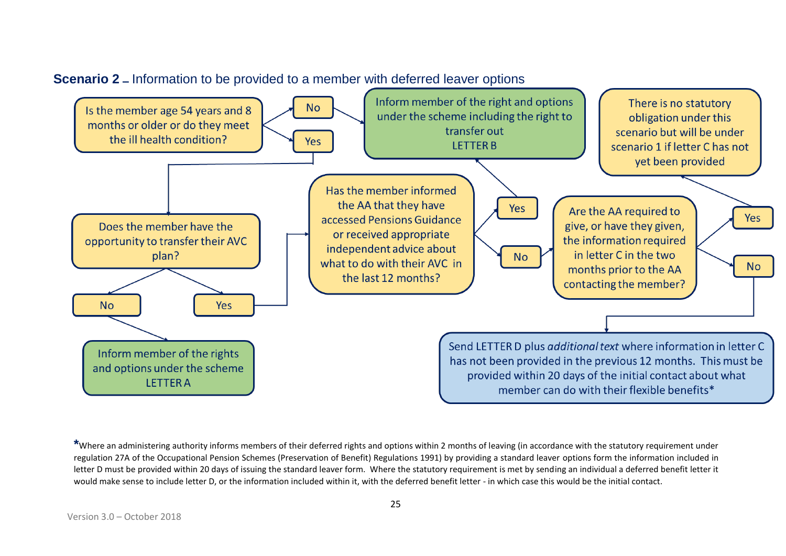

## **Scenario 2 –** Information to be provided to a member with deferred leaver options

**\***Where an administering authority informs members of their deferred rights and options within 2 months of leaving (in accordance with the statutory requirement under regulation 27A of the Occupational Pension Schemes (Preservation of Benefit) Regulations 1991) by providing a standard leaver options form the information included in letter D must be provided within 20 days of issuing the standard leaver form. Where the statutory requirement is met by sending an individual a deferred benefit letter it would make sense to include letter D, or the information included within it, with the deferred benefit letter - in which case this would be the initial contact.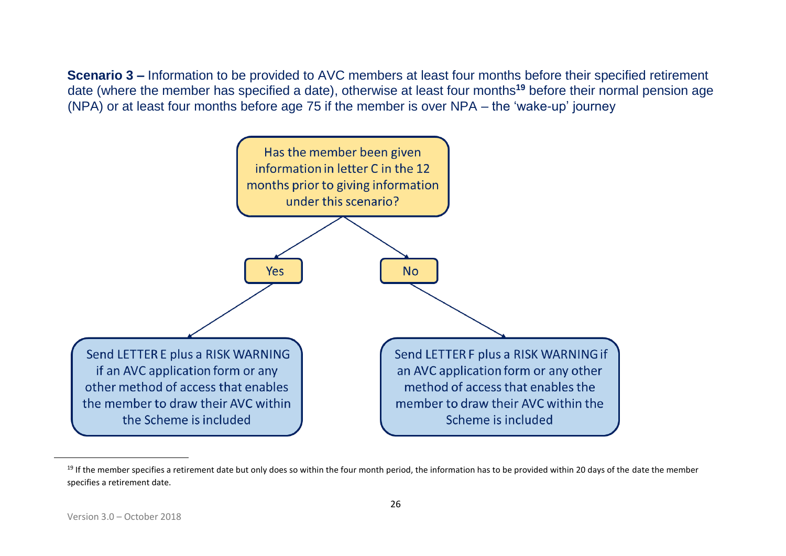**Scenario 3 –** Information to be provided to AVC members at least four months before their specified retirement date (where the member has specified a date), otherwise at least four months**<sup>19</sup>** before their normal pension age (NPA) or at least four months before age 75 if the member is over NPA – the 'wake-up' journey



<sup>&</sup>lt;sup>19</sup> If the member specifies a retirement date but only does so within the four month period, the information has to be provided within 20 days of the date the member specifies a retirement date.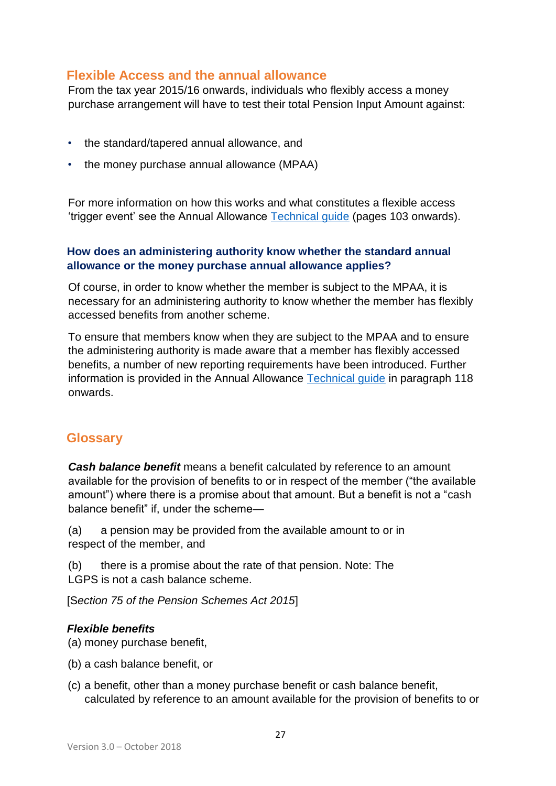### **Flexible Access and the annual allowance**

From the tax year 2015/16 onwards, individuals who flexibly access a money purchase arrangement will have to test their total Pension Input Amount against:

- the standard/tapered annual allowance, and
- the money purchase annual allowance (MPAA)

For more information on how this works and what constitutes a flexible access 'trigger event' see the Annual Allowance [Technical guide](http://www.lgpsregs.org/resources/guidesetc.php) (pages 103 onwards).

#### **How does an administering authority know whether the standard annual allowance or the money purchase annual allowance applies?**

Of course, in order to know whether the member is subject to the MPAA, it is necessary for an administering authority to know whether the member has flexibly accessed benefits from another scheme.

To ensure that members know when they are subject to the MPAA and to ensure the administering authority is made aware that a member has flexibly accessed benefits, a number of new reporting requirements have been introduced. Further information is provided in the Annual Allowance [Technical guide](http://www.lgpsregs.org/resources/guidesetc.php) in paragraph 118 onwards.

## **Glossary**

*Cash balance benefit* means a benefit calculated by reference to an amount available for the provision of benefits to or in respect of the member ("the available amount") where there is a promise about that amount. But a benefit is not a "cash balance benefit" if, under the scheme—

(a) a pension may be provided from the available amount to or in respect of the member, and

(b) there is a promise about the rate of that pension. Note: The LGPS is not a cash balance scheme.

[S*ection 75 of the Pension Schemes Act 2015*]

#### *Flexible benefits*

(a) money purchase benefit,

- (b) a cash balance benefit, or
- (c) a benefit, other than a money purchase benefit or cash balance benefit, calculated by reference to an amount available for the provision of benefits to or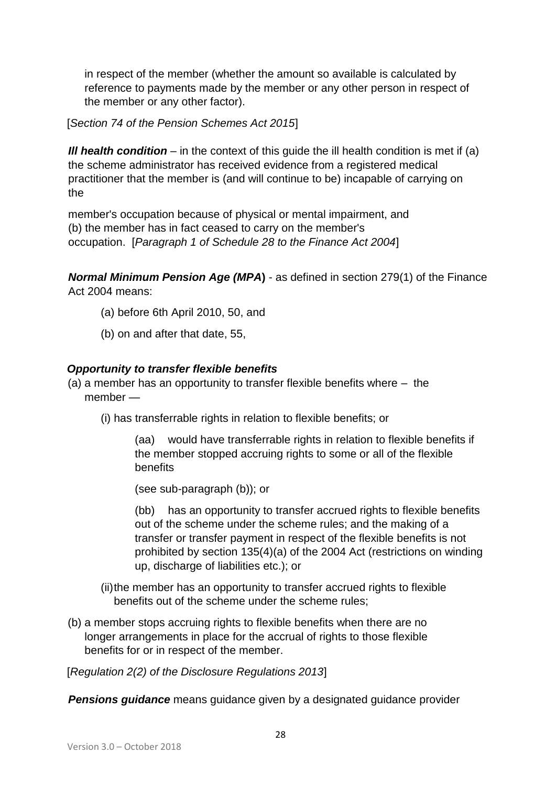in respect of the member (whether the amount so available is calculated by reference to payments made by the member or any other person in respect of the member or any other factor).

[*Section 74 of the Pension Schemes Act 2015*]

*Ill health condition* – in the context of this guide the ill health condition is met if (a) the scheme administrator has received evidence from a registered medical practitioner that the member is (and will continue to be) incapable of carrying on the

member's occupation because of physical or mental impairment, and (b) the member has in fact ceased to carry on the member's occupation. [*Paragraph 1 of Schedule 28 to the Finance Act 2004*]

*Normal Minimum Pension Age (MPA***)** - as defined in section 279(1) of the Finance Act 2004 means:

- (a) before 6th April 2010, 50, and
- (b) on and after that date, 55,

### *Opportunity to transfer flexible benefits*

- (a) a member has an opportunity to transfer flexible benefits where the member —
	- (i) has transferrable rights in relation to flexible benefits; or

(aa) would have transferrable rights in relation to flexible benefits if the member stopped accruing rights to some or all of the flexible benefits

(see sub-paragraph (b)); or

(bb) has an opportunity to transfer accrued rights to flexible benefits out of the scheme under the scheme rules; and the making of a transfer or transfer payment in respect of the flexible benefits is not prohibited by section 135(4)(a) of the 2004 Act (restrictions on winding up, discharge of liabilities etc.); or

(ii)the member has an opportunity to transfer accrued rights to flexible benefits out of the scheme under the scheme rules;

(b) a member stops accruing rights to flexible benefits when there are no longer arrangements in place for the accrual of rights to those flexible benefits for or in respect of the member.

[*Regulation 2(2) of the Disclosure Regulations 2013*]

*Pensions guidance* means guidance given by a designated guidance provider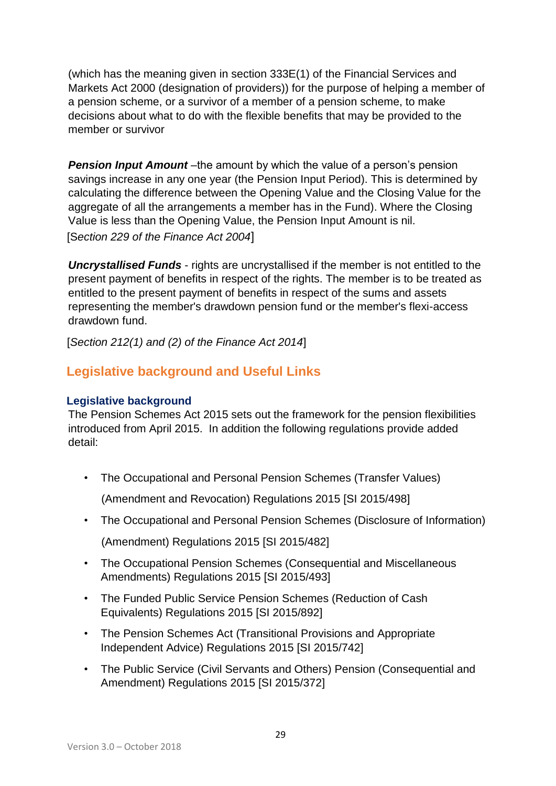(which has the meaning given in section 333E(1) of the Financial Services and Markets Act 2000 (designation of providers)) for the purpose of helping a member of a pension scheme, or a survivor of a member of a pension scheme, to make decisions about what to do with the flexible benefits that may be provided to the member or survivor

**Pension Input Amount** –the amount by which the value of a person's pension savings increase in any one year (the Pension Input Period). This is determined by calculating the difference between the Opening Value and the Closing Value for the aggregate of all the arrangements a member has in the Fund). Where the Closing Value is less than the Opening Value, the Pension Input Amount is nil. [S*ection 229 of the Finance Act 2004*]

*Uncrystallised Funds* - rights are uncrystallised if the member is not entitled to the present payment of benefits in respect of the rights. The member is to be treated as entitled to the present payment of benefits in respect of the sums and assets representing the member's drawdown pension fund or the member's flexi-access drawdown fund.

[*Section 212(1) and (2) of the Finance Act 2014*]

# **Legislative background and Useful Links**

### **Legislative background**

The Pension Schemes Act 2015 sets out the framework for the pension flexibilities introduced from April 2015. In addition the following regulations provide added detail:

• The Occupational and Personal Pension Schemes (Transfer Values)

(Amendment and Revocation) Regulations 2015 [SI 2015/498]

• The Occupational and Personal Pension Schemes (Disclosure of Information)

(Amendment) Regulations 2015 [SI 2015/482]

- The Occupational Pension Schemes (Consequential and Miscellaneous Amendments) Regulations 2015 [SI 2015/493]
- The Funded Public Service Pension Schemes (Reduction of Cash Equivalents) Regulations 2015 [SI 2015/892]
- The Pension Schemes Act (Transitional Provisions and Appropriate Independent Advice) Regulations 2015 [SI 2015/742]
- The Public Service (Civil Servants and Others) Pension (Consequential and Amendment) Regulations 2015 [SI 2015/372]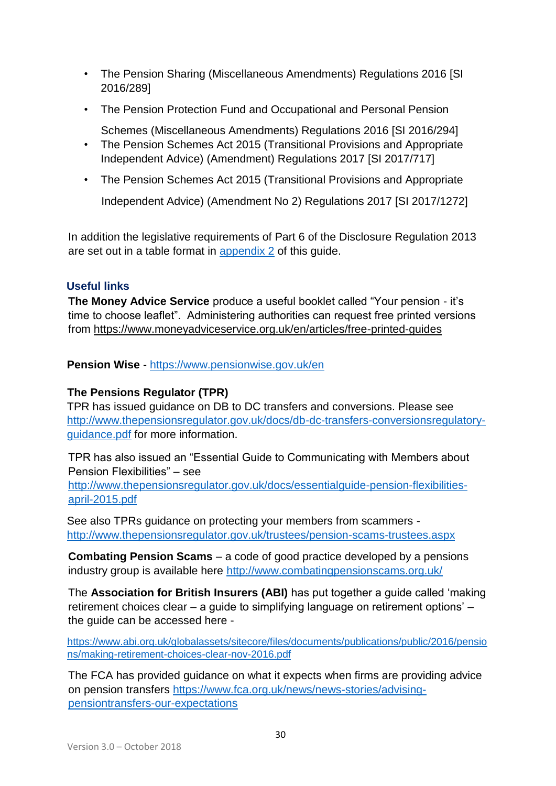- The Pension Sharing (Miscellaneous Amendments) Regulations 2016 [SI 2016/289]
- The Pension Protection Fund and Occupational and Personal Pension

Schemes (Miscellaneous Amendments) Regulations 2016 [SI 2016/294]

- The Pension Schemes Act 2015 (Transitional Provisions and Appropriate Independent Advice) (Amendment) Regulations 2017 [SI 2017/717]
- The Pension Schemes Act 2015 (Transitional Provisions and Appropriate

Independent Advice) (Amendment No 2) Regulations 2017 [SI 2017/1272]

In addition the legislative requirements of Part 6 of the Disclosure Regulation 2013 are set out in a table format in [appendix 2](http://lgpslibrary.org/assets/gas/ew/FCAVC_app2.docx.pdf) of this guide.

### **Useful links**

**The Money Advice Service** produce a useful booklet called "Your pension - it's time to choose leaflet". Administering authorities can request free printed versions from<https://www.moneyadviceservice.org.uk/en/articles/free-printed-guides>

**Pension Wise** - <https://www.pensionwise.gov.uk/en>

### **The Pensions Regulator (TPR)**

TPR has issued guidance on DB to DC transfers and conversions. Please see [http://www.thepensionsregulator.gov.uk/docs/db-dc-transfers-conversionsregulatory](http://www.thepensionsregulator.gov.uk/docs/db-dc-transfers-conversions-regulatory-guidance.pdf)[guidance.pdf](http://www.thepensionsregulator.gov.uk/docs/db-dc-transfers-conversions-regulatory-guidance.pdf) for more information.

TPR has also issued an "Essential Guide to Communicating with Members about Pension Flexibilities" – see

[http://www.thepensionsregulator.gov.uk/docs/essentialguide-pension-flexibilities](http://www.thepensionsregulator.gov.uk/docs/essential-guide-pension-flexibilities-april-2015.pdf)[april-2015.pdf](http://www.thepensionsregulator.gov.uk/docs/essential-guide-pension-flexibilities-april-2015.pdf)

See also TPRs guidance on protecting your members from scammers <http://www.thepensionsregulator.gov.uk/trustees/pension-scams-trustees.aspx>

**Combating Pension Scams** – a code of good practice developed by a pensions industry group is available here<http://www.combatingpensionscams.org.uk/>

The **Association for British Insurers (ABI)** has put together a guide called 'making retirement choices clear – a guide to simplifying language on retirement options' – the guide can be accessed here -

[https://www.abi.org.uk/globalassets/sitecore/files/documents/publications/public/2016/pensio](https://www.abi.org.uk/globalassets/sitecore/files/documents/publications/public/2016/pensions/making-retirement-choices-clear-nov-2016.pdf)  [ns/making-retirement-choices-clear-nov-2016.pdf](https://www.abi.org.uk/globalassets/sitecore/files/documents/publications/public/2016/pensions/making-retirement-choices-clear-nov-2016.pdf)

The FCA has provided guidance on what it expects when firms are providing advice on pension transfers [https://www.fca.org.uk/news/news-stories/advising](https://www.fca.org.uk/news/news-stories/advising-pension-transfers-our-expectations)[pensiontransfers-our-expectations](https://www.fca.org.uk/news/news-stories/advising-pension-transfers-our-expectations)